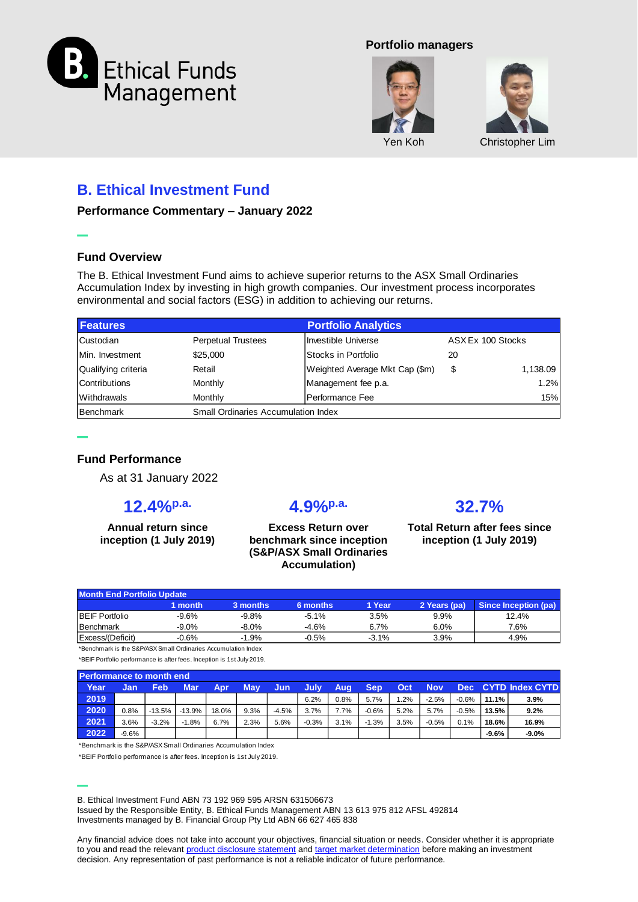

#### **Portfolio managers**





## **B. Ethical Investment Fund**

**Performance Commentary – January 2022**

#### **Fund Overview**

**–**

**–**

The B. Ethical Investment Fund aims to achieve superior returns to the ASX Small Ordinaries Accumulation Index by investing in high growth companies. Our investment process incorporates environmental and social factors (ESG) in addition to achieving our returns.

| <b>Features</b>     |                                            | <b>Portfolio Analytics</b>     |                   |          |  |  |  |  |  |
|---------------------|--------------------------------------------|--------------------------------|-------------------|----------|--|--|--|--|--|
| <b>Custodian</b>    | <b>Perpetual Trustees</b>                  | Investible Universe            | ASX Ex 100 Stocks |          |  |  |  |  |  |
| Min. Investment     | \$25,000                                   | IStocks in Portfolio           | 20                |          |  |  |  |  |  |
| Qualifying criteria | Retail                                     | Weighted Average Mkt Cap (\$m) | \$                | 1,138.09 |  |  |  |  |  |
| Contributions       | Monthly                                    | Management fee p.a.            |                   | 1.2%     |  |  |  |  |  |
| Withdrawals         | Monthly                                    | lPerformance Fee               |                   | 15%      |  |  |  |  |  |
| <b>Benchmark</b>    | <b>Small Ordinaries Accumulation Index</b> |                                |                   |          |  |  |  |  |  |

### **Fund Performance**

As at 31 January 2022

### **12.4%p.a.**

**Annual return since inception (1 July 2019)**

## **4.9%p.a.**

**Excess Return over benchmark since inception (S&P/ASX Small Ordinaries Accumulation)**

# **32.7%**

**Total Return after fees since inception (1 July 2019)**

| <b>Month End Portfolio Update</b> |         |          |          |         |              |                      |  |  |  |
|-----------------------------------|---------|----------|----------|---------|--------------|----------------------|--|--|--|
|                                   | month   | 3 months | 6 months | 1 Year  | 2 Years (pa) | Since Inception (pa) |  |  |  |
| <b>IBEIF Portfolio</b>            | $-9.6%$ | $-9.8%$  | $-5.1%$  | 3.5%    | $9.9\%$      | 12.4%                |  |  |  |
| Benchmark                         | $-9.0%$ | $-8.0%$  | $-4.6%$  | 6.7%    | 6.0%         | 7.6%                 |  |  |  |
| Excess/(Deficit)                  | $-0.6%$ | $-1.9%$  | $-0.5%$  | $-3.1%$ | 3.9%         | 4.9%                 |  |  |  |

\*Benchmark is the S&P/ASX Small Ordinaries Accumulation Index

\*BEIF Portfolio performance is after fees. Inception is 1st July 2019.

**Performance to month end**

| Year    | Jan     | Feb      | <b>Mar</b> | Apr   | <b>May</b> | Jun     | July    | Aug  | Sep     | <b>Oct</b> | <b>Nov</b> | Dec l   |         | <b>CYTD Index CYTD</b> |
|---------|---------|----------|------------|-------|------------|---------|---------|------|---------|------------|------------|---------|---------|------------------------|
| 2019    |         |          |            |       |            |         | 6.2%    | 0.8% | 5.7%    | 1.2%       | $-2.5%$    | $-0.6%$ | 11.1%   | 3.9%                   |
| 2020    | 0.8%    | $-13.5%$ | $-13.9%$   | 18.0% | 9.3%       | $-4.5%$ | 3.7%    | 7.7% | $-0.6%$ | 5.2%       | 5.7%       | $-0.5%$ | 13.5%   | 9.2%                   |
| $2021$  | 3.6%    | $-3.2%$  | $-1.8%$    | 6.7%  | 2.3%       | 5.6%    | $-0.3%$ | 3.1% | $-1.3%$ | 3.5%       | $-0.5%$    | 0.1%    | 18.6%   | 16.9%                  |
| $-2022$ | $-9.6%$ |          |            |       |            |         |         |      |         |            |            |         | $-9.6%$ | $-9.0%$                |

\*Benchmark is the S&P/ASX Small Ordinaries Accumulation Index

\*BEIF Portfolio performance is after fees. Inception is 1st July 2019.

**–** B. Ethical Investment Fund ABN 73 192 969 595 ARSN 631506673 Issued by the Responsible Entity, B. Ethical Funds Management ABN 13 613 975 812 AFSL 492814

Investments managed by B. Financial Group Pty Ltd ABN 66 627 465 838

Any financial advice does not take into account your objectives, financial situation or needs. Consider whether it is appropriate to you and read the relevant [product disclosure statement](http://www.bethical.com.au/docs/PDS.pdf) and [target market determination](http://www.bethical.com.au/docs/TMD.pdf) before making an investment decision. Any representation of past performance is not a reliable indicator of future performance.